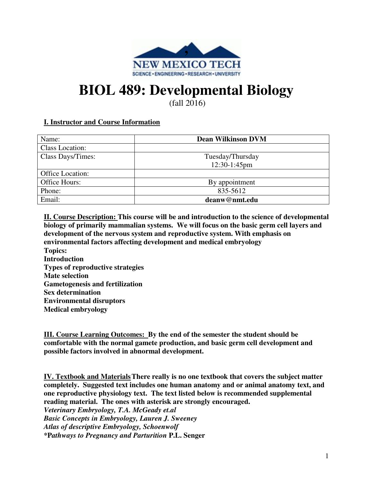

# **BIOL 489: Developmental Biology**

(fall 2016)

## **I. Instructor and Course Information**

| Name:                  | <b>Dean Wilkinson DVM</b> |
|------------------------|---------------------------|
| <b>Class Location:</b> |                           |
| Class Days/Times:      | Tuesday/Thursday          |
|                        | 12:30-1:45pm              |
| Office Location:       |                           |
| Office Hours:          | By appointment            |
| Phone:                 | 835-5612                  |
| Email:                 | deanw@nmt.edu             |

**II. Course Description: This course will be and introduction to the science of developmental biology of primarily mammalian systems. We will focus on the basic germ cell layers and development of the nervous system and reproductive system. With emphasis on environmental factors affecting development and medical embryology Topics: Introduction Types of reproductive strategies Mate selection Gametogenesis and fertilization Sex determination Environmental disruptors Medical embryology** 

**III. Course Learning Outcomes: By the end of the semester the student should be comfortable with the normal gamete production, and basic germ cell development and possible factors involved in abnormal development.**

**IV. Textbook and Materials There really is no one textbook that covers the subject matter completely. Suggested text includes one human anatomy and or animal anatomy text, and one reproductive physiology text. The text listed below is recommended supplemental reading material. The ones with asterisk are strongly encouraged.**  *Veterinary Embryology, T.A. McGeady et.al Basic Concepts in Embryology, Lauren J. Sweeney Atlas of descriptive Embryology, Schoenwolf*  **\*P***athways to Pregnancy and Parturition* **P.L. Senger**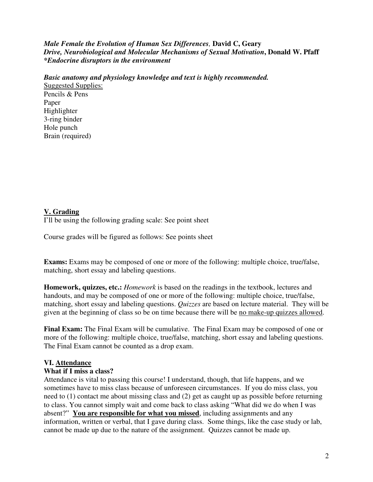*Male Female the Evolution of Human Sex Differences,* **David C, Geary** *Drive, Neurobiological and Molecular Mechanisms of Sexual Motivation***, Donald W. Pfaff**  *\*Endocrine disruptors in the environment* 

*Basic anatomy and physiology knowledge and text is highly recommended.*

Suggested Supplies: Pencils & Pens Paper Highlighter 3-ring binder Hole punch Brain (required)

## **V. Grading**

I'll be using the following grading scale: See point sheet

Course grades will be figured as follows: See points sheet

**Exams:** Exams may be composed of one or more of the following: multiple choice, true/false, matching, short essay and labeling questions.

**Homework, quizzes, etc.:** *Homework* is based on the readings in the textbook, lectures and handouts, and may be composed of one or more of the following: multiple choice, true/false, matching, short essay and labeling questions. *Quizzes* are based on lecture material. They will be given at the beginning of class so be on time because there will be no make-up quizzes allowed.

**Final Exam:** The Final Exam will be cumulative. The Final Exam may be composed of one or more of the following: multiple choice, true/false, matching, short essay and labeling questions. The Final Exam cannot be counted as a drop exam.

### **VI. Attendance**

### **What if I miss a class?**

Attendance is vital to passing this course! I understand, though, that life happens, and we sometimes have to miss class because of unforeseen circumstances. If you do miss class, you need to (1) contact me about missing class and (2) get as caught up as possible before returning to class. You cannot simply wait and come back to class asking "What did we do when I was absent?" **You are responsible for what you missed**, including assignments and any information, written or verbal, that I gave during class. Some things, like the case study or lab, cannot be made up due to the nature of the assignment. Quizzes cannot be made up.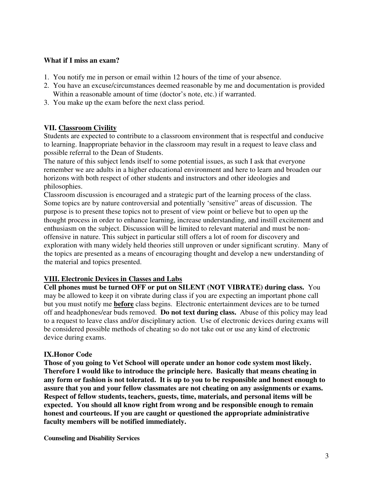### **What if I miss an exam?**

- 1. You notify me in person or email within 12 hours of the time of your absence.
- 2. You have an excuse/circumstances deemed reasonable by me and documentation is provided Within a reasonable amount of time (doctor's note, etc.) if warranted.
- 3. You make up the exam before the next class period.

#### **VII. Classroom Civility**

Students are expected to contribute to a classroom environment that is respectful and conducive to learning. Inappropriate behavior in the classroom may result in a request to leave class and possible referral to the Dean of Students.

The nature of this subject lends itself to some potential issues, as such I ask that everyone remember we are adults in a higher educational environment and here to learn and broaden our horizons with both respect of other students and instructors and other ideologies and philosophies.

Classroom discussion is encouraged and a strategic part of the learning process of the class. Some topics are by nature controversial and potentially 'sensitive" areas of discussion. The purpose is to present these topics not to present of view point or believe but to open up the thought process in order to enhance learning, increase understanding, and instill excitement and enthusiasm on the subject. Discussion will be limited to relevant material and must be nonoffensive in nature. This subject in particular still offers a lot of room for discovery and exploration with many widely held theories still unproven or under significant scrutiny. Many of the topics are presented as a means of encouraging thought and develop a new understanding of the material and topics presented.

#### **VIII. Electronic Devices in Classes and Labs**

**Cell phones must be turned OFF or put on SILENT (NOT VIBRATE) during class.** You may be allowed to keep it on vibrate during class if you are expecting an important phone call but you must notify me **before** class begins. Electronic entertainment devices are to be turned off and headphones/ear buds removed. **Do not text during class.** Abuse of this policy may lead to a request to leave class and/or disciplinary action. Use of electronic devices during exams will be considered possible methods of cheating so do not take out or use any kind of electronic device during exams.

### **IX.Honor Code**

**Those of you going to Vet School will operate under an honor code system most likely. Therefore I would like to introduce the principle here. Basically that means cheating in any form or fashion is not tolerated. It is up to you to be responsible and honest enough to assure that you and your fellow classmates are not cheating on any assignments or exams. Respect of fellow students, teachers, guests, time, materials, and personal items will be expected. You should all know right from wrong and be responsible enough to remain honest and courteous. If you are caught or questioned the appropriate administrative faculty members will be notified immediately.**